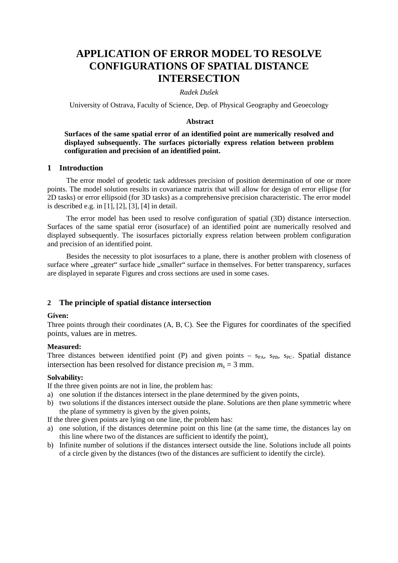# **APPLICATION OF ERROR MODEL TO RESOLVE CONFIGURATIONS OF SPATIAL DISTANCE INTERSECTION**

## *Radek Dušek*

University of Ostrava, Faculty of Science, Dep. of Physical Geography and Geoecology

## **Abstract**

# **Surfaces of the same spatial error of an identified point are numerically resolved and displayed subsequently. The surfaces pictorially express relation between problem configuration and precision of an identified point.**

## **1 Introduction**

The error model of geodetic task addresses precision of position determination of one or more points. The model solution results in covariance matrix that will allow for design of error ellipse (for 2D tasks) or error ellipsoid (for 3D tasks) as a comprehensive precision characteristic. The error model is described e.g. in [1], [2], [3], [4] in detail.

The error model has been used to resolve configuration of spatial (3D) distance intersection. Surfaces of the same spatial error (isosurface) of an identified point are numerically resolved and displayed subsequently. The isosurfaces pictorially express relation between problem configuration and precision of an identified point.

Besides the necessity to plot isosurfaces to a plane, there is another problem with closeness of surface where "greater" surface hide "smaller" surface in themselves. For better transparency, surfaces are displayed in separate Figures and cross sections are used in some cases.

## **2 The principle of spatial distance intersection**

## **Given:**

Three points through their coordinates (A, B, C). See the Figures for coordinates of the specified points, values are in metres.

#### **Measured:**

Three distances between identified point (P) and given points –  $s_{PA}$ ,  $s_{PB}$ ,  $s_{PC}$ . Spatial distance intersection has been resolved for distance precision  $m_s = 3$  mm.

## **Solvability:**

If the three given points are not in line, the problem has:

- a) one solution if the distances intersect in the plane determined by the given points,
- b) two solutions if the distances intersect outside the plane. Solutions are then plane symmetric where the plane of symmetry is given by the given points,

If the three given points are lying on one line, the problem has:

- a) one solution, if the distances determine point on this line (at the same time, the distances lay on this line where two of the distances are sufficient to identify the point),
- b) Infinite number of solutions if the distances intersect outside the line. Solutions include all points of a circle given by the distances (two of the distances are sufficient to identify the circle).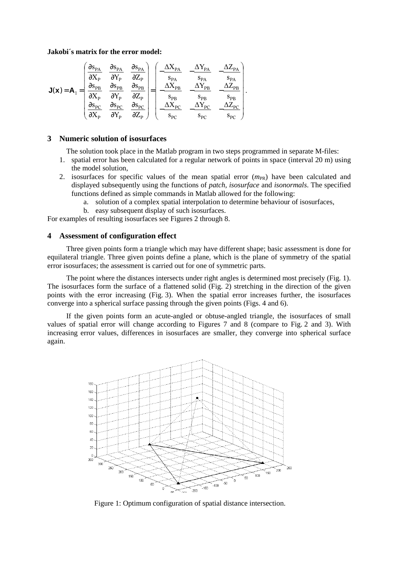## **Jakobi´s matrix for the error model:**

$$
\textbf{J}(\textbf{x})\!=\!\textbf{A}_1\!=\!\!\left[\begin{array}{cccc} \!\!\frac{\partial s_{\text{PA}}}{\partial X_{\text{P}}}&\!\!\frac{\partial s_{\text{PA}}}{\partial Y_{\text{P}}}&\!\!\frac{\partial s_{\text{PA}}}{\partial Z_{\text{P}}}\\ \!\!\frac{\partial s_{\text{PB}}}{\partial X_{\text{P}}}&\!\!\frac{\partial s_{\text{PB}}}{\partial Y_{\text{P}}}&\!\!\frac{\partial s_{\text{PB}}}{\partial Z_{\text{P}}}\\ \!\!\frac{\partial s_{\text{PB}}}{\partial X_{\text{P}}}&\!\!\frac{\partial s_{\text{PB}}}{\partial Y_{\text{P}}}&\!\!\frac{\partial s_{\text{PB}}}{\partial Z_{\text{P}}}\\ \!\!\frac{\partial s_{\text{PC}}}{\partial X_{\text{P}}}&\!\!\frac{\partial s_{\text{PC}}}{\partial Y_{\text{P}}}&\!\!\frac{\partial s_{\text{PC}}}{\partial Z_{\text{P}}}\end{array}\right]\!=\!\!\left[\begin{array}{cc}-\frac{\Delta X_{\text{PA}}}{s_{\text{PA}}}&-\frac{\Delta Z_{\text{PA}}}{s_{\text{PA}}}&-\frac{\Delta Z_{\text{PA}}}{s_{\text{PA}}}\\ -\frac{\Delta X_{\text{PB}}}{s_{\text{PB}}}&-\frac{\Delta Z_{\text{PB}}}{s_{\text{PB}}}&-\frac{\Delta Z_{\text{PB}}}{s_{\text{PB}}}\end{array}\right].
$$

## **3 Numeric solution of isosurfaces**

The solution took place in the Matlab program in two steps programmed in separate M-files:

- 1. spatial error has been calculated for a regular network of points in space (interval 20 m) using the model solution,
- 2. isosurfaces for specific values of the mean spatial error  $(m_{PR})$  have been calculated and displayed subsequently using the functions of *patch*, *isosurface* and *isonormals*. The specified functions defined as simple commands in Matlab allowed for the following:
	- a. solution of a complex spatial interpolation to determine behaviour of isosurfaces,
	- b. easy subsequent display of such isosurfaces.

For examples of resulting isosurfaces see Figures 2 through 8.

# **4 Assessment of configuration effect**

Three given points form a triangle which may have different shape; basic assessment is done for equilateral triangle. Three given points define a plane, which is the plane of symmetry of the spatial error isosurfaces; the assessment is carried out for one of symmetric parts.

The point where the distances intersects under right angles is determined most precisely (Fig. 1). The isosurfaces form the surface of a flattened solid (Fig. 2) stretching in the direction of the given points with the error increasing (Fig. 3). When the spatial error increases further, the isosurfaces converge into a spherical surface passing through the given points (Figs. 4 and 6).

If the given points form an acute-angled or obtuse-angled triangle, the isosurfaces of small values of spatial error will change according to Figures 7 and 8 (compare to Fig. 2 and 3). With increasing error values, differences in isosurfaces are smaller, they converge into spherical surface again.



Figure 1: Optimum configuration of spatial distance intersection.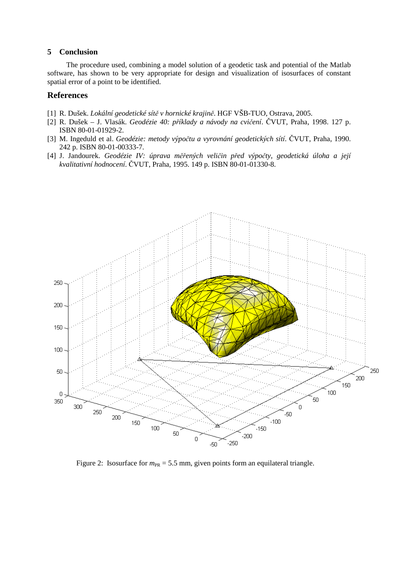## **5 Conclusion**

The procedure used, combining a model solution of a geodetic task and potential of the Matlab software, has shown to be very appropriate for design and visualization of isosurfaces of constant spatial error of a point to be identified.

## **References**

- [1] R. Dušek. *Lokální geodetické sít*ě *v hornické krajin*ě. HGF VŠB-TUO, Ostrava, 2005.
- [2] R. Dušek J. Vlasák. *Geodézie 40: p*ř*íklady a návody na cvi*č*ení*. ČVUT, Praha, 1998. 127 p. ISBN 80-01-01929-2.
- [3] M. Ingeduld et al. *Geodézie: metody výpo*č*tu a vyrovnání geodetických sítí*. ČVUT, Praha, 1990. 242 p. ISBN 80-01-00333-7.
- [4] J. Jandourek. *Geodézie IV: úprava m*ěř*ených veli*č*in p*ř*ed výpo*č*ty, geodetická úloha a její kvalitativní hodnocení*. ČVUT, Praha, 1995. 149 p. ISBN 80-01-01330-8.



Figure 2: Isosurface for  $m_{PR} = 5.5$  mm, given points form an equilateral triangle.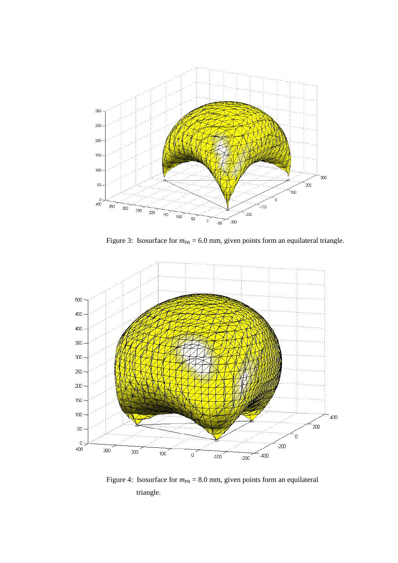

Figure 3: Isosurface for  $m_{PR} = 6.0$  mm, given points form an equilateral triangle.



Figure 4: Isosurface for  $m_{PR} = 8.0$  mm, given points form an equilateral triangle.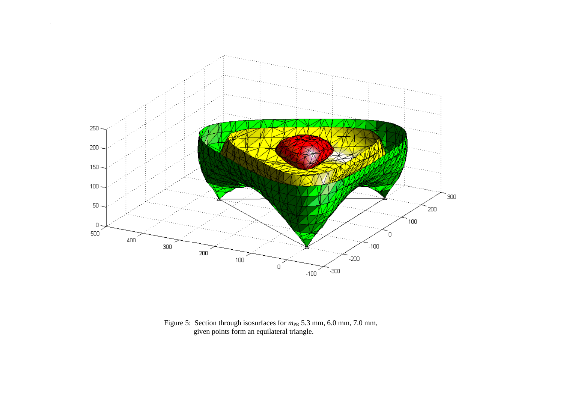

Figure 5: Section through isosurfaces for  $m_{PR}$  5.3 mm, 6.0 mm, 7.0 mm, given points form an equilateral triangle.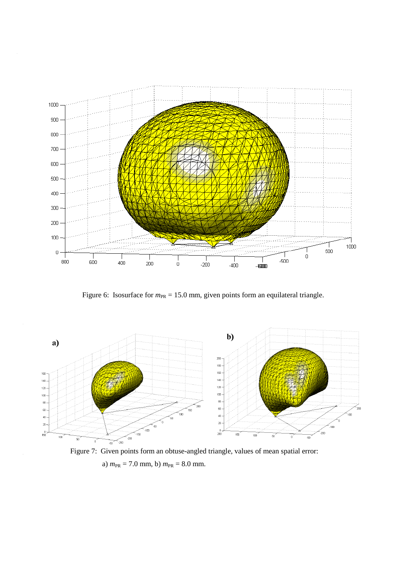

Figure 6: Isosurface for  $m_{PR} = 15.0$  mm, given points form an equilateral triangle.



Figure 7: Given points form an obtuse-angled triangle, values of mean spatial error: a)  $m_{PR} = 7.0$  mm, b)  $m_{PR} = 8.0$  mm.